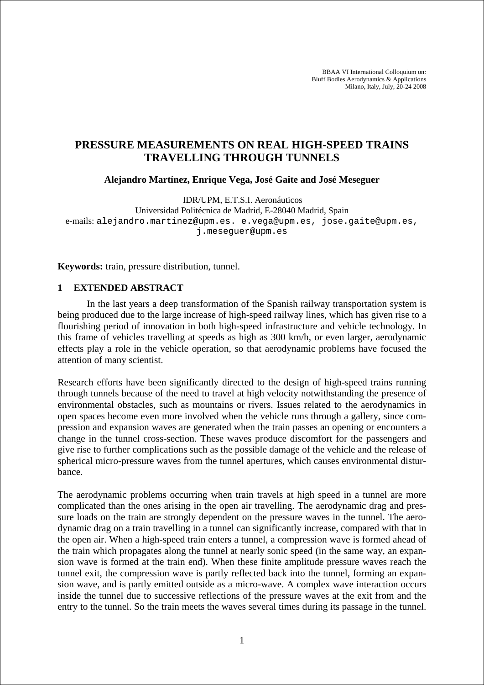BBAA VI International Colloquium on: Bluff Bodies Aerodynamics & Applications Milano, Italy, July, 20-24 2008

## **PRESSURE MEASUREMENTS ON REAL HIGH-SPEED TRAINS TRAVELLING THROUGH TUNNELS**

**Alejandro Martínez, Enrique Vega, José Gaite and José Meseguer** 

IDR/UPM, E.T.S.I. Aeronáuticos

Universidad Politécnica de Madrid, E-28040 Madrid, Spain e-mails: alejandro.martinez@upm.es. e.vega@upm.es, jose.gaite@upm.es, j.meseguer@upm.es

**Keywords:** train, pressure distribution, tunnel.

## **1 EXTENDED ABSTRACT**

 In the last years a deep transformation of the Spanish railway transportation system is being produced due to the large increase of high-speed railway lines, which has given rise to a flourishing period of innovation in both high-speed infrastructure and vehicle technology. In this frame of vehicles travelling at speeds as high as 300 km/h, or even larger, aerodynamic effects play a role in the vehicle operation, so that aerodynamic problems have focused the attention of many scientist.

Research efforts have been significantly directed to the design of high-speed trains running through tunnels because of the need to travel at high velocity notwithstanding the presence of environmental obstacles, such as mountains or rivers. Issues related to the aerodynamics in open spaces become even more involved when the vehicle runs through a gallery, since compression and expansion waves are generated when the train passes an opening or encounters a change in the tunnel cross-section. These waves produce discomfort for the passengers and give rise to further complications such as the possible damage of the vehicle and the release of spherical micro-pressure waves from the tunnel apertures, which causes environmental disturbance.

The aerodynamic problems occurring when train travels at high speed in a tunnel are more complicated than the ones arising in the open air travelling. The aerodynamic drag and pressure loads on the train are strongly dependent on the pressure waves in the tunnel. The aerodynamic drag on a train travelling in a tunnel can significantly increase, compared with that in the open air. When a high-speed train enters a tunnel, a compression wave is formed ahead of the train which propagates along the tunnel at nearly sonic speed (in the same way, an expansion wave is formed at the train end). When these finite amplitude pressure waves reach the tunnel exit, the compression wave is partly reflected back into the tunnel, forming an expansion wave, and is partly emitted outside as a micro-wave. A complex wave interaction occurs inside the tunnel due to successive reflections of the pressure waves at the exit from and the entry to the tunnel. So the train meets the waves several times during its passage in the tunnel.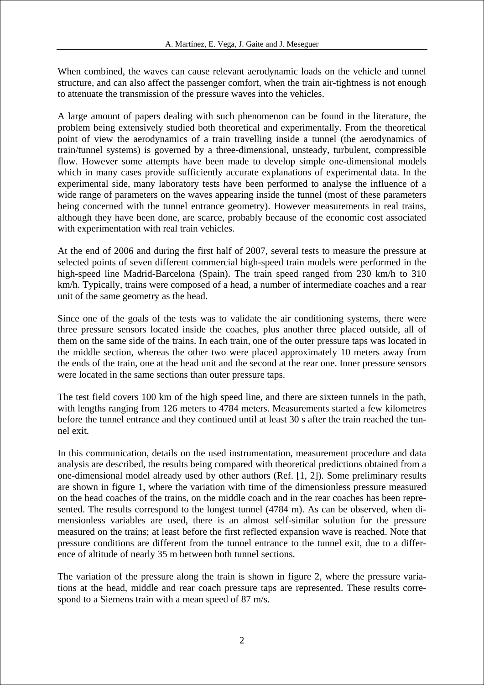When combined, the waves can cause relevant aerodynamic loads on the vehicle and tunnel structure, and can also affect the passenger comfort, when the train air-tightness is not enough to attenuate the transmission of the pressure waves into the vehicles.

A large amount of papers dealing with such phenomenon can be found in the literature, the problem being extensively studied both theoretical and experimentally. From the theoretical point of view the aerodynamics of a train travelling inside a tunnel (the aerodynamics of train/tunnel systems) is governed by a three-dimensional, unsteady, turbulent, compressible flow. However some attempts have been made to develop simple one-dimensional models which in many cases provide sufficiently accurate explanations of experimental data. In the experimental side, many laboratory tests have been performed to analyse the influence of a wide range of parameters on the waves appearing inside the tunnel (most of these parameters being concerned with the tunnel entrance geometry). However measurements in real trains, although they have been done, are scarce, probably because of the economic cost associated with experimentation with real train vehicles.

At the end of 2006 and during the first half of 2007, several tests to measure the pressure at selected points of seven different commercial high-speed train models were performed in the high-speed line Madrid-Barcelona (Spain). The train speed ranged from 230 km/h to 310 km/h. Typically, trains were composed of a head, a number of intermediate coaches and a rear unit of the same geometry as the head.

Since one of the goals of the tests was to validate the air conditioning systems, there were three pressure sensors located inside the coaches, plus another three placed outside, all of them on the same side of the trains. In each train, one of the outer pressure taps was located in the middle section, whereas the other two were placed approximately 10 meters away from the ends of the train, one at the head unit and the second at the rear one. Inner pressure sensors were located in the same sections than outer pressure taps.

The test field covers 100 km of the high speed line, and there are sixteen tunnels in the path, with lengths ranging from 126 meters to 4784 meters. Measurements started a few kilometres before the tunnel entrance and they continued until at least 30 s after the train reached the tunnel exit.

In this communication, details on the used instrumentation, measurement procedure and data analysis are described, the results being compared with theoretical predictions obtained from a one-dimensional model already used by other authors (Ref. [1, 2]). Some preliminary results are shown in figure 1, where the variation with time of the dimensionless pressure measured on the head coaches of the trains, on the middle coach and in the rear coaches has been represented. The results correspond to the longest tunnel (4784 m). As can be observed, when dimensionless variables are used, there is an almost self-similar solution for the pressure measured on the trains; at least before the first reflected expansion wave is reached. Note that pressure conditions are different from the tunnel entrance to the tunnel exit, due to a difference of altitude of nearly 35 m between both tunnel sections.

The variation of the pressure along the train is shown in figure 2, where the pressure variations at the head, middle and rear coach pressure taps are represented. These results correspond to a Siemens train with a mean speed of 87 m/s.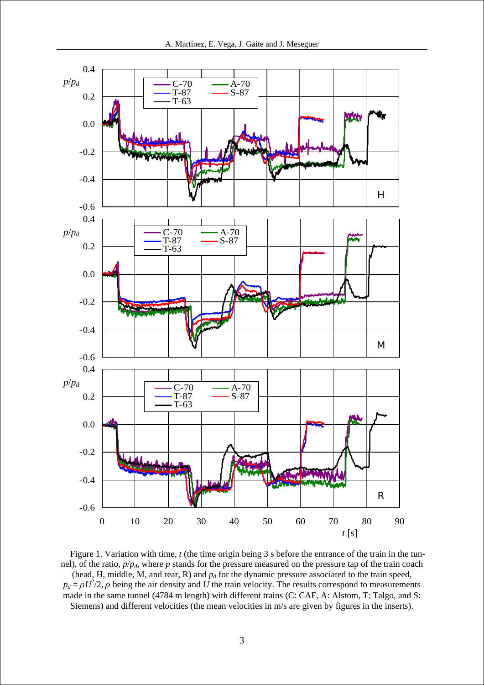

Figure 1. Variation with time, *t* (the time origin being 3 s before the entrance of the train in the tunnel), of the ratio,  $p/p_d$ , where *p* stands for the pressure measured on the pressure tap of the train coach (head, H, middle, M, and rear, R) and  $p_d$  for the dynamic pressure associated to the train speed,  $p_d = \rho U^2/2$ ,  $\rho$  being the air density and *U* the train velocity. The results correspond to measurements made in the same tunnel (4784 m length) with different trains (C: CAF, A: Alstom, T: Talgo, and S: Siemens) and different velocities (the mean velocities in m/s are given by figures in the inserts).